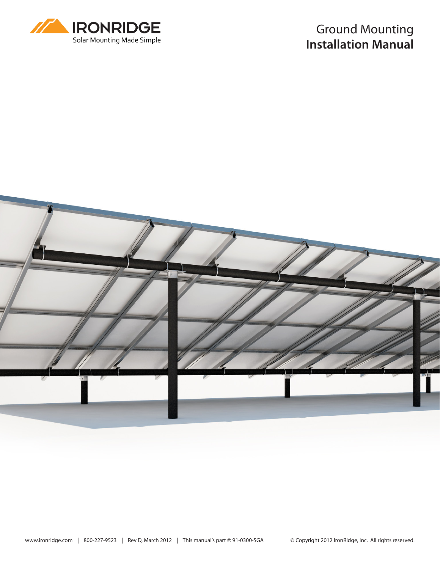

### Ground Mounting **Installation Manual**

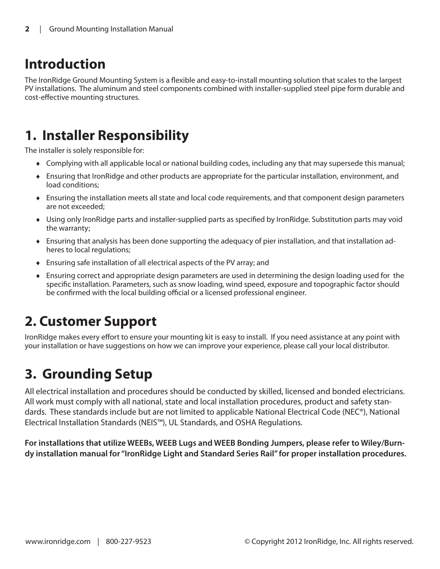# **Introduction**

The IronRidge Ground Mounting System is a flexible and easy-to-install mounting solution that scales to the largest PV installations. The aluminum and steel components combined with installer-supplied steel pipe form durable and cost-effective mounting structures.

# **1. Installer Responsibility**

The installer is solely responsible for:

- ♦ Complying with all applicable local or national building codes, including any that may supersede this manual;
- ♦ Ensuring that IronRidge and other products are appropriate for the particular installation, environment, and load conditions;
- ♦ Ensuring the installation meets all state and local code requirements, and that component design parameters are not exceeded;
- ♦ Using only IronRidge parts and installer-supplied parts as specified by IronRidge. Substitution parts may void the warranty;
- ♦ Ensuring that analysis has been done supporting the adequacy of pier installation, and that installation adheres to local regulations;
- ♦ Ensuring safe installation of all electrical aspects of the PV array; and
- ♦ Ensuring correct and appropriate design parameters are used in determining the design loading used for the specific installation. Parameters, such as snow loading, wind speed, exposure and topographic factor should be confirmed with the local building official or a licensed professional engineer.

# **2. Customer Support**

IronRidge makes every effort to ensure your mounting kit is easy to install. If you need assistance at any point with your installation or have suggestions on how we can improve your experience, please call your local distributor.

# **3. Grounding Setup**

All electrical installation and procedures should be conducted by skilled, licensed and bonded electricians. All work must comply with all national, state and local installation procedures, product and safety standards. These standards include but are not limited to applicable National Electrical Code (NEC®), National Electrical Installation Standards (NEIS™), UL Standards, and OSHA Regulations.

**For installations that utilize WEEBs, WEEB Lugs and WEEB Bonding Jumpers, please refer to Wiley/Burndy installation manual for "IronRidge Light and Standard Series Rail" for proper installation procedures.**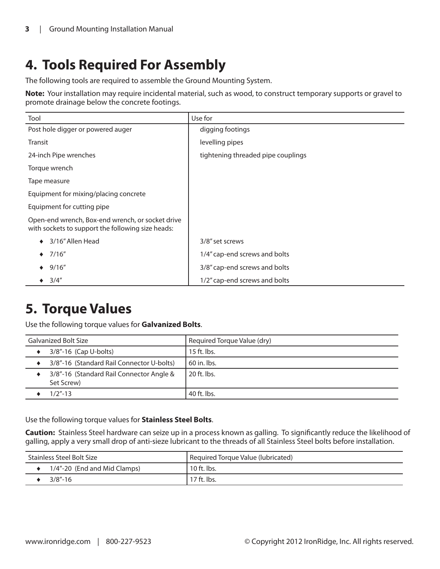# **4. Tools Required For Assembly**

The following tools are required to assemble the Ground Mounting System.

**Note:** Your installation may require incidental material, such as wood, to construct temporary supports or gravel to promote drainage below the concrete footings.

| Tool                                                                                                  | Use for                            |
|-------------------------------------------------------------------------------------------------------|------------------------------------|
| Post hole digger or powered auger                                                                     | digging footings                   |
| <b>Transit</b>                                                                                        | levelling pipes                    |
| 24-inch Pipe wrenches                                                                                 | tightening threaded pipe couplings |
| Torque wrench                                                                                         |                                    |
| Tape measure                                                                                          |                                    |
| Equipment for mixing/placing concrete                                                                 |                                    |
| Equipment for cutting pipe                                                                            |                                    |
| Open-end wrench, Box-end wrench, or socket drive<br>with sockets to support the following size heads: |                                    |
| 3/16" Allen Head                                                                                      | 3/8" set screws                    |
| 7/16''                                                                                                | 1/4" cap-end screws and bolts      |
| 9/16''                                                                                                | 3/8" cap-end screws and bolts      |
| 3/4''                                                                                                 | 1/2" cap-end screws and bolts      |

# **5. Torque Values**

Use the following torque values for **Galvanized Bolts**.

| Galvanized Bolt Size                                   | Required Torque Value (dry) |
|--------------------------------------------------------|-----------------------------|
| 3/8"-16 (Cap U-bolts)                                  | 15 ft. lbs.                 |
| 3/8"-16 (Standard Rail Connector U-bolts)              | 60 in. lbs.                 |
| 3/8"-16 (Standard Rail Connector Angle &<br>Set Screw) | 20 ft. lbs.                 |
| $1/2" - 13$                                            | 40 ft. lbs.                 |

Use the following torque values for **Stainless Steel Bolts**.

**Caution:** Stainless Steel hardware can seize up in a process known as galling. To significantly reduce the likelihood of galling, apply a very small drop of anti-sieze lubricant to the threads of all Stainless Steel bolts before installation.

| Stainless Steel Bolt Size |                              | Required Torque Value (lubricated) |
|---------------------------|------------------------------|------------------------------------|
|                           | 1/4"-20 (End and Mid Clamps) | 10 ft. lbs.                        |
|                           | $3/8$ "-16                   | 17 ft. lbs.                        |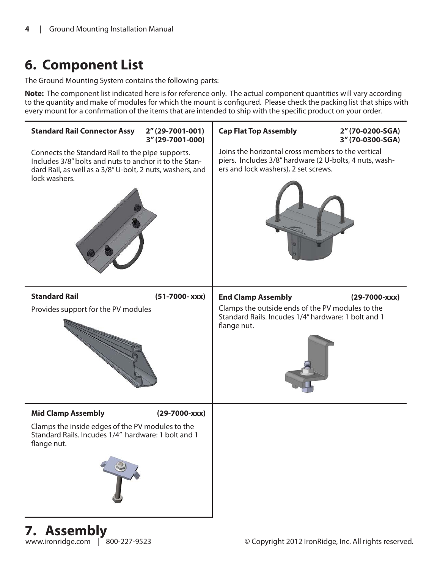# **6. Component List**

The Ground Mounting System contains the following parts:

**Note:** The component list indicated here is for reference only. The actual component quantities will vary according to the quantity and make of modules for which the mount is configured. Please check the packing list that ships with every mount for a confirmation of the items that are intended to ship with the specific product on your order.



**7. Assembly**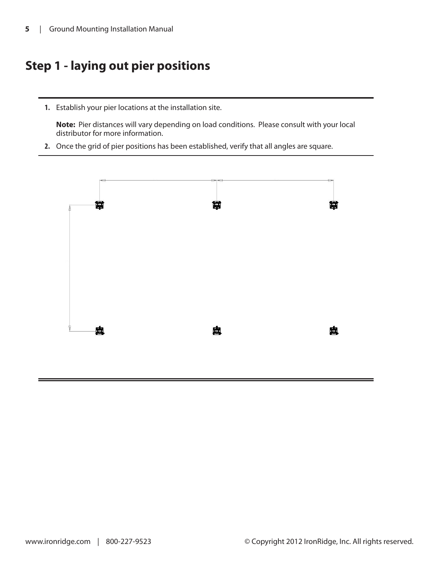#### **Step 1 - laying out pier positions**

**1.** Establish your pier locations at the installation site.

**Note:** Pier distances will vary depending on load conditions. Please consult with your local distributor for more information.

**2.** Once the grid of pier positions has been established, verify that all angles are square.

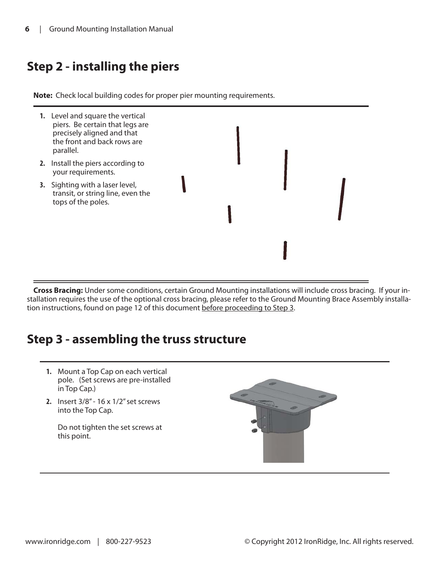### **Step 2 - installing the piers**

**Note:** Check local building codes for proper pier mounting requirements.



**Cross Bracing:** Under some conditions, certain Ground Mounting installations will include cross bracing. If your installation requires the use of the optional cross bracing, please refer to the Ground Mounting Brace Assembly installation instructions, found on page 12 of this document before proceeding to Step 3.

#### **Step 3 - assembling the truss structure**

- **1.** Mount a Top Cap on each vertical pole. (Set screws are pre-installed in Top Cap.)
- **2.** Insert 3/8" 16 x 1/2" set screws into the Top Cap.

Do not tighten the set screws at this point.

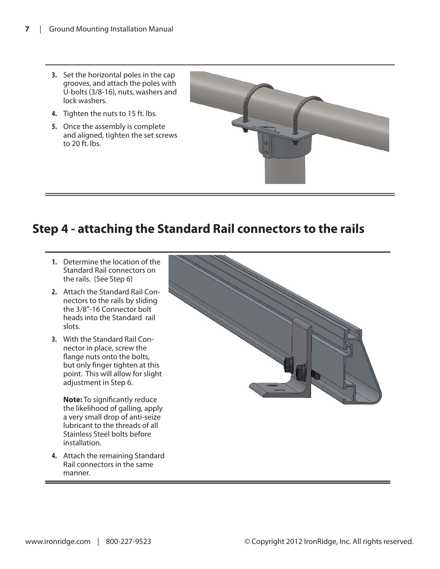- **3.** Set the horizontal poles in the cap grooves, and attach the poles with U-bolts (3/8-16), nuts, washers and lock washers.
- **4.** Tighten the nuts to 15 ft. lbs.
- **5.** Once the assembly is complete and aligned, tighten the set screws to 20 ft. lbs.

#### **Step 4 - attaching the Standard Rail connectors to the rails**

- **1.** Determine the location of the Standard Rail connectors on the rails. (See Step 6)
- **2.** Attach the Standard Rail Connectors to the rails by sliding the 3/8"-16 Connector bolt heads into the Standard rail slots.
- **3.** With the Standard Rail Connector in place, screw the flange nuts onto the bolts, but only finger tighten at this point. This will allow for slight adjustment in Step 6.

**Note:** To significantly reduce the likelihood of galling, apply a very small drop of anti-seize lubricant to the threads of all Stainless Steel bolts before installation.

**4.** Attach the remaining Standard Rail connectors in the same manner.

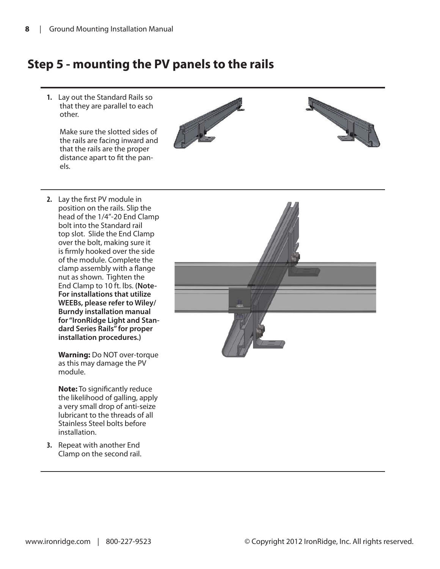#### **Step 5 - mounting the PV panels to the rails**

**1.** Lay out the Standard Rails so that they are parallel to each other.

> Make sure the slotted sides of the rails are facing inward and that the rails are the proper distance apart to fit the panels.



**2.** Lay the first PV module in position on the rails. Slip the head of the 1/4"-20 End Clamp bolt into the Standard rail top slot. Slide the End Clamp over the bolt, making sure it is firmly hooked over the side of the module. Complete the clamp assembly with a flange nut as shown. Tighten the End Clamp to 10 ft. lbs. **(Note-For installations that utilize WEEBs, please refer to Wiley/ Burndy installation manual for "IronRidge Light and Standard Series Rails" for proper installation procedures.)**

> **Warning:** Do NOT over-torque as this may damage the PV module.

**Note:** To significantly reduce the likelihood of galling, apply a very small drop of anti-seize lubricant to the threads of all Stainless Steel bolts before installation.

**3.** Repeat with another End Clamp on the second rail.

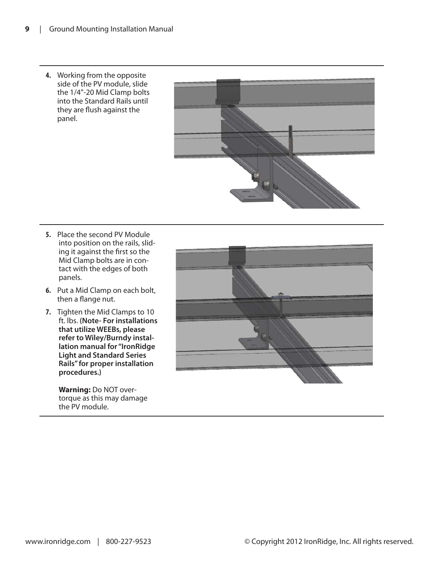**4.** Working from the opposite side of the PV module, slide the 1/4"-20 Mid Clamp bolts into the Standard Rails until they are flush against the panel.



- **5.** Place the second PV Module into position on the rails, sliding it against the first so the Mid Clamp bolts are in contact with the edges of both panels.
- **6.** Put a Mid Clamp on each bolt, then a flange nut.
- **7.** Tighten the Mid Clamps to 10 ft. lbs. **(Note- For installations that utilize WEEBs, please refer to Wiley/Burndy installation manual for "IronRidge Light and Standard Series Rails" for proper installation procedures.)**

**Warning:** Do NOT overtorque as this may damage the PV module.

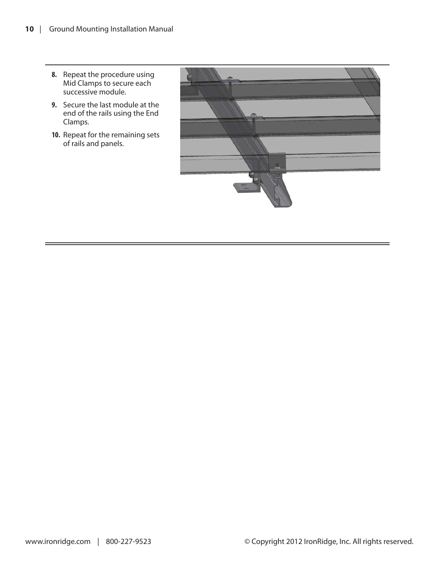- **8.** Repeat the procedure using Mid Clamps to secure each successive module.
- **9.** Secure the last module at the end of the rails using the End Clamps.
- **10.** Repeat for the remaining sets of rails and panels.

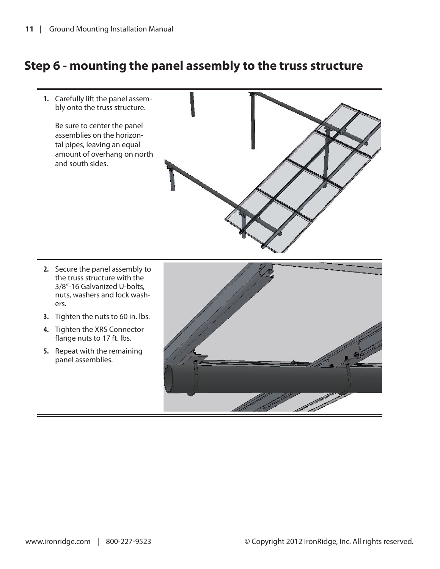#### **Step 6 - mounting the panel assembly to the truss structure**

**1.** Carefully lift the panel assembly onto the truss structure. Be sure to center the panel assemblies on the horizontal pipes, leaving an equal amount of overhang on north and south sides. **2.** Secure the panel assembly to the truss structure with the 3/8"-16 Galvanized U-bolts, nuts, washers and lock washers. **3.** Tighten the nuts to 60 in. lbs. **4.** Tighten the XRS Connector flange nuts to 17 ft. lbs. **5.** Repeat with the remaining panel assemblies.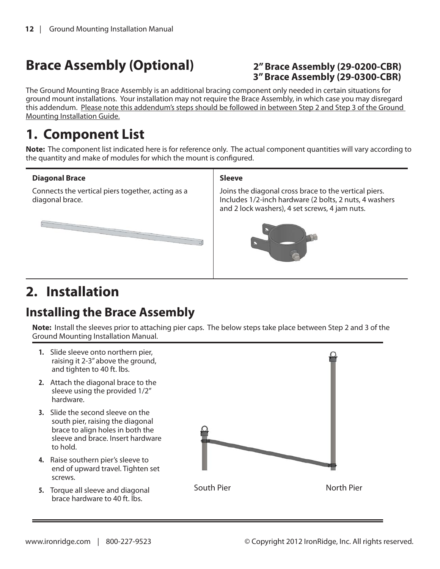# **Brace Assembly (Optional) 2" Brace Assembly (29-0200-CBR)**

# **3" Brace Assembly (29-0300-CBR)**

The Ground Mounting Brace Assembly is an additional bracing component only needed in certain situations for ground mount installations. Your installation may not require the Brace Assembly, in which case you may disregard this addendum. Please note this addendum's steps should be followed in between Step 2 and Step 3 of the Ground Mounting Installation Guide.

# **1. Component List**

**Note:** The component list indicated here is for reference only. The actual component quantities will vary according to the quantity and make of modules for which the mount is configured.

#### **Diagonal Brace**

Connects the vertical piers together, acting as a diagonal brace.



Joins the diagonal cross brace to the vertical piers. Includes 1/2-inch hardware (2 bolts, 2 nuts, 4 washers and 2 lock washers), 4 set screws, 4 jam nuts.



# **2. Installation**

# **Installing the Brace Assembly**

**Note:** Install the sleeves prior to attaching pier caps. The below steps take place between Step 2 and 3 of the Ground Mounting Installation Manual.

- **1.** Slide sleeve onto northern pier, raising it 2-3" above the ground, and tighten to 40 ft. lbs.
- **2.** Attach the diagonal brace to the sleeve using the provided 1/2" hardware.
- **3.** Slide the second sleeve on the south pier, raising the diagonal brace to align holes in both the sleeve and brace. Insert hardware to hold.
- **4.** Raise southern pier's sleeve to end of upward travel. Tighten set screws.
- **5.** Torque all sleeve and diagonal brace hardware to 40 ft. lbs.